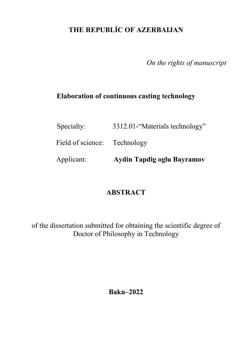# **THE REPUBLİC OF AZERBAIJAN**

*On the rights of manuscript* 

### **Elaboration of continuous casting technology**

| Applicant:        | Aydin Tapdig oglu Bayramov     |
|-------------------|--------------------------------|
| Field of science: | Technology                     |
| Specialty:        | 3312.01-"Materials technology" |

# **ABSTRACT**

of the dissertation submitted for obtaining the scientific degree of Doctor of Philosophy in Technology

**Baku–2022**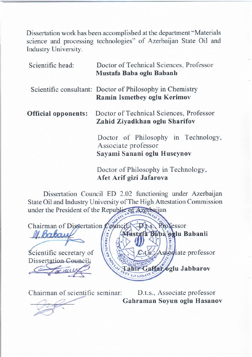Dissertation work has been accomplished at the department "Materials" science and processing technologies" of Azerbaijan State Oil and Industry University.

| Scientific head:           | Doctor of Technical Sciences, Professor<br>Mustafa Baba oglu Babanlı                      |
|----------------------------|-------------------------------------------------------------------------------------------|
|                            | Scientific consultant: Doctor of Philosophy in Chemistry<br>Ramin Ismetbey oglu Kerimov   |
| <b>Official opponents:</b> | Doctor of Technical Sciences, Professor<br>Zahid Ziyadkhan oglu Sharifov                  |
|                            | Doctor of Philosophy in Technology,<br>Associate professor<br>Sayami Sanani oglu Huseynov |
|                            | Doctor of Dhilosophy in Toohnology                                                        |

Dissertation Council ED 2.02 functioning under Azerbaijan State Oil and Industry University of The High Attestation Commission under the President of the Republic of Azerbaijan

**Afet Arif gizi Jafarova**

Doctor of Philosophy in Technology,



Chairman of scientific seminar:

 $\mathcal{L}$ 

D.t.s., Associate professor Gahraman Soyun oglu Hasanov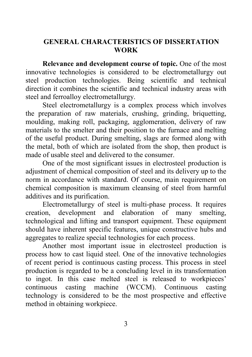### **GENERAL CHARACTERISTICS OF DISSERTATION WORK**

**Relevance and development course of topic.** One of the most innovative technologies is considered to be electrometallurgy out steel production technologies. Being scientific and technical direction it combines the scientific and technical industry areas with steel and ferroalloy electrometallurgy.

Steel electrometallurgy is a complex process which involves the preparation of raw materials, crushing, grinding, briquetting, moulding, making roll, packaging, agglomeration, delivery of raw materials to the smelter and their position to the furnace and melting of the useful product. During smelting, slags are formed along with the metal, both of which are isolated from the shop, then product is made of usable steel and delivered to the consumer.

One of the most significant issues in electrosteel production is adjustment of chemical composition of steel and its delivery up to the norm in accordance with standard. Of course, main requirement on chemical composition is maximum cleansing of steel from harmful additives and its purification.

Electrometallurgy of steel is multi-phase process. It requires creation, development and elaboration of many smelting, technological and lifting and transport equipment. These equipment should have inherent specific features, unique constructive hubs and aggregates to realize special technologies for each process.

Another most important issue in electrosteel production is process how to cast liquid steel. One of the innovative technologies of recent period is continuous casting process. This process in steel production is regarded to be a concluding level in its transformation to ingot. In this case melted steel is released to workpieces' continuous casting machine (WCCM). Continuous casting technology is considered to be the most prospective and effective method in obtaining workpiece.

3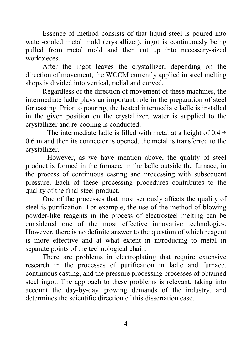Essence of method consists of that liquid steel is poured into water-cooled metal mold (crystallizer), ingot is continuously being pulled from metal mold and then cut up into necessary-sized workpieces.

After the ingot leaves the crystallizer, depending on the direction of movement, the WCCM currently applied in steel melting shops is divided into vertical, radial and curved.

Regardless of the direction of movement of these machines, the intermediate ladle plays an important role in the preparation of steel for casting. Prior to pouring, the heated intermediate ladle is installed in the given position on the crystallizer, water is supplied to the crystallizer and re-cooling is conducted.

The intermediate ladle is filled with metal at a height of  $0.4 \div$ 0.6 m and then its connector is opened, the metal is transferred to the crystallizer.

 However, as we have mention above, the quality of steel product is formed in the furnace, in the ladle outside the furnace, in the process of continuous casting and processing with subsequent pressure. Each of these processing procedures contributes to the quality of the final steel product.

One of the processes that most seriously affects the quality of steel is purification. For example, the use of the method of blowing powder-like reagents in the process of electrosteel melting can be considered one of the most effective innovative technologies. However, there is no definite answer to the question of which reagent is more effective and at what extent in introducing to metal in separate points of the technological chain.

There are problems in electroplating that require extensive research in the processes of purification in ladle and furnace, continuous casting, and the pressure processing processes of obtained steel ingot. The approach to these problems is relevant, taking into account the day-by-day growing demands of the industry, and determines the scientific direction of this dissertation case.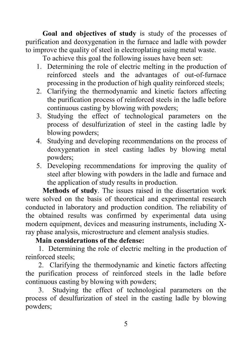**Goal and objectives of study** is study of the processes of purification and deoxygenation in the furnace and ladle with powder to improve the quality of steel in electroplating using metal waste.

To achieve this goal the following issues have been set:

- 1. Determining the role of electric melting in the production of reinforced steels and the advantages of out-of-furnace processing in the production of high quality reinforced steels;
- 2. Clarifying the thermodynamic and kinetic factors affecting the purification process of reinforced steels in the ladle before continuous casting by blowing with powders;
- 3. Studying the effect of technological parameters on the process of desulfurization of steel in the casting ladle by blowing powders;
- 4. Studying and developing recommendations on the process of deoxygenation in steel casting ladles by blowing metal powders;
- 5. Developing recommendations for improving the quality of steel after blowing with powders in the ladle and furnace and the application of study results in production.

**Methods of study**. The issues raised in the dissertation work were solved on the basis of theoretical and experimental research conducted in laboratory and production condition. The reliability of the obtained results was confirmed by experimental data using modern equipment, devices and measuring instruments, including Xray phase analysis, microstructure and element analysis studies.

### **Main considerations of the defense:**

1. Determining the role of electric melting in the production of reinforced steels;

2. Clarifying the thermodynamic and kinetic factors affecting the purification process of reinforced steels in the ladle before continuous casting by blowing with powders;

3. Studying the effect of technological parameters on the process of desulfurization of steel in the casting ladle by blowing powders;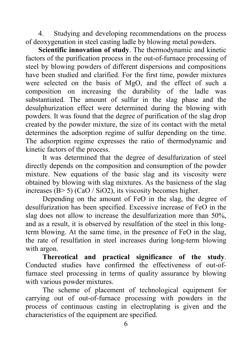4. Studying and developing recommendations on the process of deoxygenation in steel casting ladle by blowing metal powders.

**Scientific innovation of study**. The thermodynamic and kinetic factors of the purification process in the out-of-furnace processing of steel by blowing powders of different dispersions and compositions have been studied and clarified. For the first time, powder mixtures were selected on the basis of MgO, and the effect of such a composition on increasing the durability of the ladle was substantiated. The amount of sulfur in the slag phase and the desulphurization effect were determined during the blowing with powders. It was found that the degree of purification of the slag drop created by the powder mixture, the size of its contact with the metal determines the adsorption regime of sulfur depending on the time. The adsorption regime expresses the ratio of thermodynamic and kinetic factors of the process.

It was determined that the degree of desulfurization of steel directly depends on the composition and consumption of the powder mixture. New equations of the basic slag and its viscosity were obtained by blowing with slag mixtures. As the basicness of the slag increases (B> 5) (CaO / SiO2), its viscosity becomes higher.

Depending on the amount of FeO in the slag, the degree of desulfurization has been specified. Excessive increase of FeO in the slag does not allow to increase the desulfurization more than 50%, and as a result, it is observed by resulfation of the steel in this longterm blowing. At the same time, in the presence of FeO in the slag, the rate of resulfation in steel increases during long-term blowing with argon.

**Thereotical and practical significance of the study**. Conducted studies have confirmed the effectiveness of out-offurnace steel processing in terms of quality assurance by blowing with various powder mixtures.

The scheme of placement of technological equipment for carrying out of out-of-furnace processing with powders in the process of continuous casting in electroplating is given and the characteristics of the equipment are specified.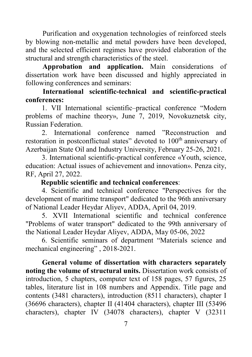Purification and oxygenation technologies of reinforced steels by blowing non-metallic and metal powders have been developed, and the selected efficient regimes have provided elaboration of the structural and strength characteristics of the steel.

**Approbation and application.** Main considerations of dissertation work have been discussed and highly appreciated in following conferences and seminars:

### **International scientific-technical and scientific-practical conferences:**

1. VII International scientific–practical conference "Modern problems of machine theory», June 7, 2019, Novokuznetsk city, Russian Federation.

2. International conference named "Reconstruction and restoration in postconflictual states" devoted to 100<sup>th</sup> anniversary of Azerbaijan State Oil and Industry University, February 25-26, 2021.

3. International scientific-practical conference «Youth, science, education: Actual issues of achievement and innovation». Penza city, RF, April 27, 2022.

### **Republic scientific and technical conferences**:

4. Scientific and technical conference "Perspectives for the development of maritime transport" dedicated to the 96th anniversary of National Leader Heydar Aliyev, ADDA, April 04, 2019.

5. XVII International scientific and technical conference "Problems of water transport" dedicated to the 99th anniversary of the National Leader Heydar Aliyev, ADDA, May 05-06, 2022

6. Scientific seminars of department "Materials science and mechanical engineering" , 2018-2021.

**General volume of dissertation with characters separately noting the volume of structural units.** Dissertation work consists of introduction, 5 chapters, computer text of 158 pages, 57 figures, 25 tables, literature list in 108 numbers and Appendix. Title page and contents (3481 characters), introduction (8511 characters), chapter I (36696 characters), chapter II (41404 characters), chapter III (53496 characters), chapter IV (34078 characters), chapter V (32311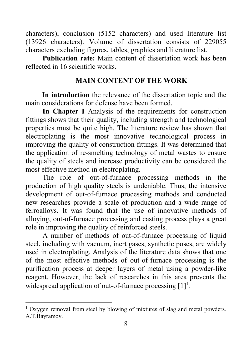characters), conclusion (5152 characters) and used literature list (13926 characters). Volume of dissertation consists of 229055 characters excluding figures, tables, graphics and literature list.

**Publication rate:** Main content of dissertation work has been reflected in 16 scientific works.

### **MAIN CONTENT OF THE WORK**

**In introduction** the relevance of the dissertation topic and the main considerations for defense have been formed.

**In Chapter I** Analysis of the requirements for construction fittings shows that their quality, including strength and technological properties must be quite high. The literature review has shown that electroplating is the most innovative technological process in improving the quality of construction fittings. It was determined that the application of re-smelting technology of metal wastes to ensure the quality of steels and increase productivity can be considered the most effective method in electroplating.

The role of out-of-furnace processing methods in the production of high quality steels is undeniable. Thus, the intensive development of out-of-furnace processing methods and conducted new researches provide a scale of production and a wide range of ferroalloys. It was found that the use of innovative methods of alloying, out-of-furnace processing and casting process plays a great role in improving the quality of reinforced steels.

A number of methods of out-of-furnace processing of liquid steel, including with vacuum, inert gases, synthetic poses, are widely used in electroplating. Analysis of the literature data shows that one of the most effective methods of out-of-furnace processing is the purification process at deeper layers of metal using a powder-like reagent. However, the lack of researches in this area prevents the widespread application of out-of-furnace processing  $[1]$  $[1]$  $[1]$ <sup>1</sup>.

<span id="page-7-0"></span><sup>&</sup>lt;sup>1</sup> Oxygen removal from steel by blowing of mixtures of slag and metal powders. A.T.Bayramov.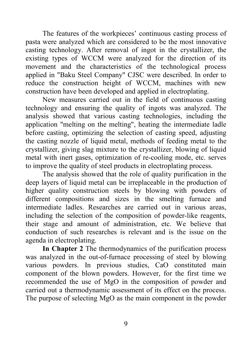The features of the workpieces' continuous casting process of pasta were analyzed which are considered to be the most innovative casting technology. After removal of ingot in the crystallizer, the existing types of WCCM were analyzed for the direction of its movement and the characteristics of the technological process applied in "Baku Steel Company" CJSC were described. In order to reduce the construction height of WCCM, machines with new construction have been developed and applied in electroplating.

New measures carried out in the field of continuous casting technology and ensuring the quality of ingots was analyzed. The analysis showed that various casting technologies, including the application "melting on the melting", heating the intermediate ladle before casting, optimizing the selection of casting speed, adjusting the casting nozzle of liquid metal, methods of feeding metal to the crystallizer, giving slag mixture to the crystallizer, blowing of liquid metal with inert gases, optimization of re-cooling mode, etc. serves to improve the quality of steel products in electroplating process.

The analysis showed that the role of quality purification in the deep layers of liquid metal can be irreplaceable in the production of higher quality construction steels by blowing with powders of different compositions and sizes in the smelting furnace and intermediate ladles. Researches are carried out in various areas, including the selection of the composition of powder-like reagents, their stage and amount of administration, etc. We believe that conduction of such researches is relevant and is the issue on the agenda in electroplating.

**In Chapter 2** The thermodynamics of the purification process was analyzed in the out-of-furnace processing of steel by blowing various powders. In previous studies, CaO constituted main component of the blown powders. However, for the first time we recommended the use of MgO in the composition of powder and carried out a thermodynamic assessment of its effect on the process. The purpose of selecting MgO as the main component in the powder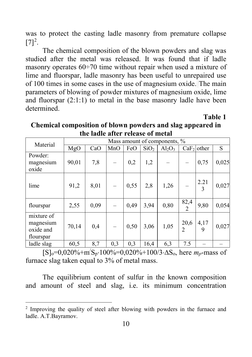was to protect the casting ladle masonry from premature collapse  $[7]^2$  $[7]^2$ .

The chemical composition of the blown powders and slag was studied after the metal was released. It was found that if ladle masonry operates 60÷70 time without repair when used a mixture of lime and fluorspar, ladle masonry has been useful to unrepaired use of 100 times in some cases in the use of magnesium oxide. The main parameters of blowing of powder mixtures of magnesium oxide, lime and fluorspar (2:1:1) to metal in the base masonry ladle have been determined.

**Table 1**

| Material                                          | Mass amount of components, % |      |     |      |                  |           |                        |              |       |
|---------------------------------------------------|------------------------------|------|-----|------|------------------|-----------|------------------------|--------------|-------|
|                                                   | MgO                          | CaO  | MnO | FeO  | SiO <sub>2</sub> | $Al_2O_3$ |                        | $CaF2$ other | S     |
| Powder:<br>magnesium<br>oxide                     | 90,01                        | 7,8  |     | 0,2  | 1,2              |           |                        | 0,75         | 0,025 |
| lime                                              | 91,2                         | 8,01 |     | 0,55 | 2,8              | 1,26      |                        | 2.21<br>3    | 0,027 |
| flourspar                                         | 2,55                         | 0,09 |     | 0,49 | 3,94             | 0,80      | 82,4<br>$\overline{c}$ | 9,80         | 0,054 |
| mixture of<br>magnesium<br>oxide and<br>flourspar | 70,14                        | 0,4  |     | 0,50 | 3,06             | 1,05      | 20,6<br>$\mathfrak{D}$ | 4,17<br>9    | 0,027 |
| ladle slag                                        | 60,5                         | 8,7  | 0,3 | 0,3  | 16,4             | 6,3       | 7.5                    |              |       |

**Chemical composition of blown powders and slag appeared in the ladle after release of metal** 

[S]o=0,020%+m/ Sp⋅100%=0,020%+100/3⋅∆So, here *mp*-mass of furnace slag taken equal to 3% of metal mass.

The equilibrium content of sulfur in the known composition and amount of steel and slag, i.e. its minimum concentration

<span id="page-9-0"></span><sup>&</sup>lt;sup>2</sup> Improving the quality of steel after blowing with powders in the furnace and ladle. A.T.Bayramov.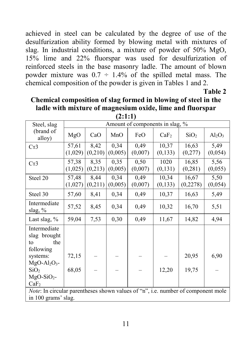achieved in steel can be calculated by the degree of use of the desulfurization ability formed by blowing metal with mixtures of slag. In industrial conditions, a mixture of powder of 50% MgO, 15% lime and 22% fluorspar was used for desulfurization of reinforced steels in the base masonry ladle. The amount of blown powder mixture was  $0.7 \div 1.4\%$  of the spilled metal mass. The chemical composition of the powder is given in Tables 1 and 2.

**Table 2**

### **Chemical composition of slag formed in blowing of steel in the ladle with mixture of magnesium oxide, lime and fluorspar**

| Steel, slag                                                                      | Amount of components in slag, % |          |                   |         |                  |                  |           |
|----------------------------------------------------------------------------------|---------------------------------|----------|-------------------|---------|------------------|------------------|-----------|
| (brand of<br>alloy)                                                              | MgO                             | CaO      | MnO               | FeO     | CaF <sub>2</sub> | SiO <sub>2</sub> | $Al_2O_3$ |
| Cr3                                                                              | 57,61                           | 8,42     | $\overline{0,34}$ | 0,49    | 10,37            | 16,63            | 5,49      |
|                                                                                  | (1,029)                         | (0, 210) | (0,005)           | (0,007) | (0,133)          | (0,277)          | (0,054)   |
| Cr3                                                                              | 57,38                           | 8,35     | 0,35              | 0,50    | 1020             | 16,85            | 5,56      |
|                                                                                  | (1,025)                         | (0,213)  | (0,005)           | (0,007) | (0,131)          | (0, 281)         | (0,055)   |
| Steel 20                                                                         | 57,48                           | 8,44     | 0,34              | 0,49    | 10,34            | 16,67            | 5,50      |
|                                                                                  | (1,027)                         | (0,211)  | (0,005)           | (0,007) | (0,133)          | (0, 2278)        | (0,054)   |
| Steel 30                                                                         | 57,60                           | 8,41     | 0,34              | 0,49    | 10,37            | 16,63            | 5,49      |
| Intermediate<br>slag, %                                                          | 57,52                           | 8,45     | 0,34              | 0,49    | 10,32            | 16,70            | 5,51      |
| Last slag, $%$                                                                   | 59,04                           | 7,53     | 0,30              | 0,49    | 11,67            | 14,82            | 4,94      |
| Intermediate<br>slag brought<br>the<br>to<br>following                           |                                 |          |                   |         |                  |                  |           |
| systems:                                                                         | 72,15                           |          |                   |         |                  | 20,95            | 6,90      |
| $MgO-Al2O3$ -                                                                    |                                 |          |                   |         |                  |                  |           |
| SiO <sub>2</sub><br>$MgO-SiO2$ -                                                 | 68,05                           |          |                   |         | 12,20            | 19,75            |           |
| CaF <sub>2</sub>                                                                 |                                 |          |                   |         |                  |                  |           |
| Note: In circular parentheses shown values of "n", i.e. number of component mole |                                 |          |                   |         |                  |                  |           |
|                                                                                  |                                 |          |                   |         |                  |                  |           |
| in 100 grams' slag.                                                              |                                 |          |                   |         |                  |                  |           |

**(2:1:1)**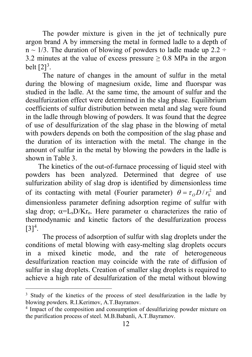The powder mixture is given in the jet of technically pure argon brand A by immersing the metal in formed ladle to a depth of  $n \sim 1/3$ . The duration of blowing of powders to ladle made up 2.2 ÷ 3.2 minutes at the value of excess pressure  $\geq$  0.8 MPa in the argon belt  $[2]^3$  $[2]^3$ .

The nature of changes in the amount of sulfur in the metal during the blowing of magnesium oxide, lime and fluorspar was studied in the ladle. At the same time, the amount of sulfur and the desulfurization effect were determined in the slag phase. Equilibrium coefficients of sulfur distribution between metal and slag were found in the ladle through blowing of powders. It was found that the degree of use of desulfurization of the slag phase in the blowing of metal with powders depends on both the composition of the slag phase and the duration of its interaction with the metal. The change in the amount of sulfur in the metal by blowing the powders in the ladle is shown in Table 3.

 The kinetics of the out-of-furnace processing of liquid steel with powders has been analyzed. Determined that degree of use sulfurization ability of slag drop is identified by dimensionless time of its contacting with metal (Fourier parameter)  $\theta = \tau_o D / r_0^2$  and dimensionless parameter defining adsorption regime of sulfur with slag drop;  $\alpha = L_s D/Kr_o$ . Here parameter  $\alpha$  characterizes the ratio of thermodynamic and kinetic factors of the desulfurization process  $[3]^{4}$  $[3]^{4}$  $[3]^{4}$ .

The process of adsorption of sulfur with slag droplets under the conditions of metal blowing with easy-melting slag droplets occurs in a mixed kinetic mode, and the rate of heterogeneous desulfurization reaction may coincide with the rate of diffusion of sulfur in slag droplets. Creation of smaller slag droplets is required to achieve a high rate of desulfurization of the metal without blowing

<span id="page-11-0"></span><sup>&</sup>lt;sup>3</sup> Study of the kinetics of the process of steel desulfurization in the ladle by blowing powders. R.I.Kerimov, A.T.Bayramov.

<span id="page-11-1"></span><sup>4</sup> Impact of the composition and consumption of desulfurizing powder mixture on the purification process of steel. M.B.Babanli, A.T.Bayramov.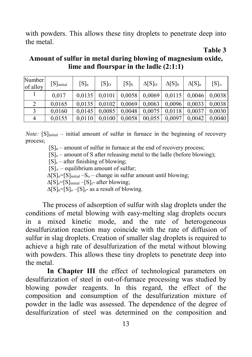with powders. This allows these tiny droplets to penetrate deep into the metal.

**Table 3**

| Amount of sulfur in metal during blowing of magnesium oxide, |
|--------------------------------------------------------------|
| lime and flourspar in the ladle $(2:1:1)$                    |

| Number<br>of alloy | $[S]$ initial | $[S]_n$ | [S]o   | $[S]_S$ | $\Delta[S]_0$ | $\Delta$ [S] <sub>S</sub> | $\Delta[S]_n$          | $[S]_{\infty}$ |
|--------------------|---------------|---------|--------|---------|---------------|---------------------------|------------------------|----------------|
|                    | 0.017         | 0.0135  | 0,0101 | 0,0058  |               |                           | $0,0069$ 0.0115 0.0046 | 0.0038         |
|                    | 0.0165        | 0.0135  | 0,0102 | 0,0069  | 0,0063        |                           | $0,0096$ 0.0033        | 0.0038         |
|                    | 0,0160        | 0.0145  | 0.0085 | 0.0048  | 0.0075        | 0,0118                    | 0.0037                 | 0.0030         |
|                    | 0,0155        | 0.0110  | 0.0100 | 0,0058  | 00,055        | 0.0097                    | 0.0042                 | 0.0040         |

*Note:*  $[S]_{initial}$  – initial amount of sulfur in furnace in the beginning of recovery process;

 $[S]_n$  – amount of sulfur in furnace at the end of recovery process;

 $[S]_0$  – amount of S after releasing metal to the ladle (before blowing);

 $[S]_s$  – after finishing of blowing;

 $[S]_{\infty}$  – equilibrium amount of sulfur;

 $\Delta[S]_0=[S]_{initial}-S_0$  – change in sulfur amount until blowing;

 $\Delta[S]_s=[S]_{initial}-[S]_s$ - after blowing;

 $\Delta[S]_n=[S]_0-[S]_s$ - as a result of blowing.

The process of adsorption of sulfur with slag droplets under the conditions of metal blowing with easy-melting slag droplets occurs in a mixed kinetic mode, and the rate of heterogeneous desulfurization reaction may coincide with the rate of diffusion of sulfur in slag droplets. Creation of smaller slag droplets is required to achieve a high rate of desulfurization of the metal without blowing with powders. This allows these tiny droplets to penetrate deep into the metal.

In Chapter III the effect of technological parameters on desulfurization of steel in out-of-furnace processing was studied by blowing powder reagents. In this regard, the effect of the composition and consumption of the desulfurization mixture of powder in the ladle was assessed. The dependence of the degree of desulfurization of steel was determined on the composition and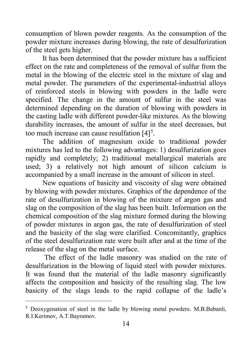consumption of blown powder reagents. As the consumption of the powder mixture increases during blowing, the rate of desulfurization of the steel gets higher.

It has been determined that the powder mixture has a sufficient effect on the rate and completeness of the removal of sulfur from the metal in the blowing of the electric steel in the mixture of slag and metal powder. The parameters of the experimental-industrial alloys of reinforced steels in blowing with powders in the ladle were specified. The change in the amount of sulfur in the steel was determined depending on the duration of blowing with powders in the casting ladle with different powder-like mixtures. As the blowing durability increases, the amount of sulfur in the steel decreases, but too much increase can cause resulfation  $[4]^{5}$  $[4]^{5}$  $[4]^{5}$ .

The addition of magnesium oxide to traditional powder mixtures has led to the following advantages: 1) desulfurization goes rapidly and completely; 2) traditional metallurgical materials are used; 3) a relatively not high amount of silicon calcium is accompanied by a small increase in the amount of silicon in steel.

New equations of basicity and viscosity of slag were obtained by blowing with powder mixtures. Graphics of the dependence of the rate of desulfurization in blowing of the mixture of argon gas and slag on the composition of the slag has been built. Information on the chemical composition of the slag mixture formed during the blowing of powder mixtures in argon gas, the rate of desulfurization of steel and the basicity of the slag were clarified. Concomitantly, graphics of the steel desulfurization rate were built after and at the time of the release of the slag on the metal surface.

The effect of the ladle masonry was studied on the rate of desulfurization in the blowing of liquid steel with powder mixtures. It was found that the material of the ladle masonry significantly affects the composition and basicity of the resulting slag. The low basicity of the slags leads to the rapid collapse of the ladle's

<span id="page-13-0"></span><sup>&</sup>lt;sup>5</sup> Deoxygenation of steel in the ladle by blowing metal powders. M.B.Babanli, R.I.Kerimov, A.T.Bayramov.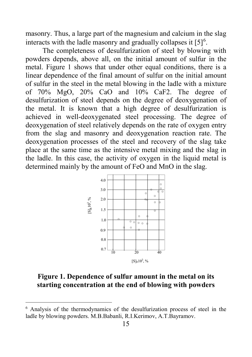masonry. Thus, a large part of the magnesium and calcium in the slag interacts with the ladle masonry and gradually collapses it  $[5]^6$  $[5]^6$ .

The completeness of desulfurization of steel by blowing with powders depends, above all, on the initial amount of sulfur in the metal. Figure 1 shows that under other equal conditions, there is a linear dependence of the final amount of sulfur on the initial amount of sulfur in the steel in the metal blowing in the ladle with a mixture of 70% MgO, 20% CaO and 10% CaF2. The degree of desulfurization of steel depends on the degree of deoxygenation of the metal. It is known that a high degree of desulfurization is achieved in well-deoxygenated steel processing. The degree of deoxygenation of steel relatively depends on the rate of oxygen entry from the slag and masonry and deoxygenation reaction rate. The deoxygenation processes of the steel and recovery of the slag take place at the same time as the intensive metal mixing and the slag in the ladle. In this case, the activity of oxygen in the liquid metal is determined mainly by the amount of FeO and MnO in the slag.



### **Figure 1. Dependence of sulfur amount in the metal on its starting concentration at the end of blowing with powders**

<span id="page-14-0"></span> <sup>6</sup> Analysis of the thermodynamics of the desulfurization process of steel in the ladle by blowing powders. M.B.Babanli, R.I.Kerimov, A.T.Bayramov.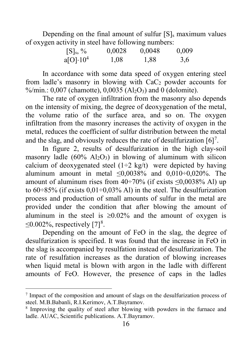Depending on the final amount of sulfur  $[S]_s$  maximum values of oxygen activity in steel have following numbers:

| $[S]_s, \%$       | 0,0028 | 0,0048 | 0,009 |
|-------------------|--------|--------|-------|
| $a[O] \cdot 10^4$ | 1,08   | 1,88   | 3,6   |

In accordance with some data speed of oxygen entering steel from ladle's masonry in blowing with CaC2 powder accounts for %/min.:  $0.007$  (chamotte),  $0.0035$  (Al<sub>2</sub>O<sub>3</sub>) and 0 (dolomite).

The rate of oxygen infiltration from the masonry also depends on the intensity of mixing, the degree of deoxygenation of the metal, the volume ratio of the surface area, and so on. The oxygen infiltration from the masonry increases the activity of oxygen in the metal, reduces the coefficient of sulfur distribution between the metal and the slag, and obviously reduces the rate of desulfurization  $[6]$ <sup>[7](#page-15-0)</sup>.

In figure 2, results of desulfurization in the high clay-soil masonry ladle  $(60\% \text{ Al}_2\text{O}_3)$  in blowing of aluminum with silicon calcium of deoxygenated steel  $(1-2 \text{ kg/t})$  were depicted by having aluminum amount in metal  $\leq 0.0038\%$  and  $0.010 \div 0.020\%$ . The amount of aluminum rises from  $40\div 70\%$  (if exists  $\leq 0.0038\%$  Al) up to  $60\div 85\%$  (if exists  $0.01\div 0.03\%$  Al) in the steel. The desulfurization process and production of small amounts of sulfur in the metal are provided under the condition that after blowing the amount of aluminum in the steel is  $\geq 0.02\%$  and the amount of oxygen is  $\leq$ 0.002%, respectively [7]<sup>[8](#page-15-1)</sup>.

Depending on the amount of FeO in the slag, the degree of desulfurization is specified. It was found that the increase in FeO in the slag is accompanied by resulfation instead of desulfurization. The rate of resulfation increases as the duration of blowing increases when liquid metal is blown with argon in the ladle with different amounts of FeO. However, the presence of caps in the ladles

<span id="page-15-0"></span> <sup>7</sup> Impact of the composition and amount of slags on the desulfurization process of steel. M.B.Babanli, R.I.Kerimov, A.T.Bayramov.

<span id="page-15-1"></span><sup>&</sup>lt;sup>8</sup> Improving the quality of steel after blowing with powders in the furnace and ladle. AUAC, Scientific publications. A.T.Bayramov.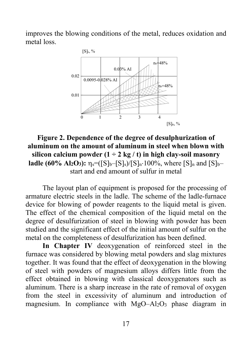improves the blowing conditions of the metal, reduces oxidation and metal loss.



**Figure 2. Dependence of the degree of desulphurization of aluminum on the amount of aluminum in steel when blown with silicon calcium powder**  $(1 \div 2 \text{ kg}/t)$  in high clay-soil masonry **ladle** (60% Al<sub>2</sub>O<sub>3</sub>):  $\eta_s = (S|_b - [S]_s) / [S|_n \cdot 100\%$ , where  $[S]_n$  and  $[S]_b$ start and end amount of sulfur in metal

The layout plan of equipment is proposed for the processing of armature electric steels in the ladle. The scheme of the ladle-furnace device for blowing of powder reagents to the liquid metal is given. The effect of the chemical composition of the liquid metal on the degree of desulfurization of steel in blowing with powder has been studied and the significant effect of the initial amount of sulfur on the metal on the completeness of desulfurization has been defined.

**In Chapter IV** deoxygenation of reinforced steel in the furnace was considered by blowing metal powders and slag mixtures together. It was found that the effect of deoxygenation in the blowing of steel with powders of magnesium alloys differs little from the effect obtained in blowing with classical deoxygenators such as aluminum. There is a sharp increase in the rate of removal of oxygen from the steel in excessivity of aluminum and introduction of magnesium. In compliance with  $MgO-Al_2O_3$  phase diagram in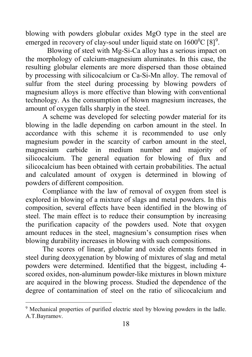blowing with powders globular oxides MgO type in the steel are emerged in recovery of clay-soul under liquid state on  $1600^{\circ}$ C [8]<sup>[9](#page-17-0)</sup>.

Blowing of steel with Mg-Si-Ca alloy has a serious impact on the morphology of calcium-magnesium aluminates. In this case, the resulting globular elements are more dispersed than those obtained by processing with silicocalcium or Ca-Si-Mn alloy. The removal of sulfur from the steel during processing by blowing powders of magnesium alloys is more effective than blowing with conventional technology. As the consumption of blown magnesium increases, the amount of oxygen falls sharply in the steel.

A scheme was developed for selecting powder material for its blowing in the ladle depending on carbon amount in the steel. In accordance with this scheme it is recommended to use only magnesium powder in the scarcity of carbon amount in the steel, magnesium carbide in medium number and majority of silicocalcium. The general equation for blowing of flux and silicocalcium has been obtained with certain probabilities. The actual and calculated amount of oxygen is determined in blowing of powders of different composition.

Compliance with the law of removal of oxygen from steel is explored in blowing of a mixture of slags and metal powders. In this composition, several effects have been identified in the blowing of steel. The main effect is to reduce their consumption by increasing the purification capacity of the powders used. Note that oxygen amount reduces in the steel, magnesium's consumption rises when blowing durability increases in blowing with such compositions.

The scores of linear, globular and oxide elements formed in steel during deoxygenation by blowing of mixtures of slag and metal powders were determined. Identified that the biggest, including 4 scored oxides, non-aluminum powder-like mixtures in blown mixture are acquired in the blowing process. Studied the dependence of the degree of contamination of steel on the ratio of silicocalcium and

<span id="page-17-0"></span><sup>&</sup>lt;sup>9</sup> Mechanical properties of purified electric steel by blowing powders in the ladle. A.T.Bayramov.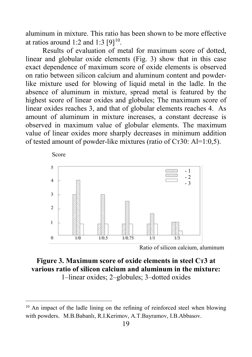aluminum in mixture. This ratio has been shown to be more effective at ratios around 1:2 and 1:3  $[9]^{10}$ .

Results of evaluation of metal for maximum score of dotted, linear and globular oxide elements (Fig. 3) show that in this case exact dependence of maximum score of oxide elements is observed on ratio between silicon calcium and aluminum content and powderlike mixture used for blowing of liquid metal in the ladle. In the absence of aluminum in mixture, spread metal is featured by the highest score of linear oxides and globules; The maximum score of linear oxides reaches 3, and that of globular elements reaches 4. As amount of aluminum in mixture increases, a constant decrease is observed in maximum value of globular elements. The maximum value of linear oxides more sharply decreases in minimum addition of tested amount of powder-like mixtures (ratio of Ст30: Al=1:0,5).



Ratio of silicon calcium, aluminum

### **Figure 3. Maximum score of oxide elements in steel Ст3 at various ratio of silicon calcium and aluminum in the mixture:** 1–linear oxides; 2–globules; 3–dotted oxides

<span id="page-18-0"></span><sup>&</sup>lt;sup>10</sup> An impact of the ladle lining on the refining of reinforced steel when blowing with powders. M.B.Babanlı, R.I.Kerimov, A.T.Bayramov, I.B.Abbasov.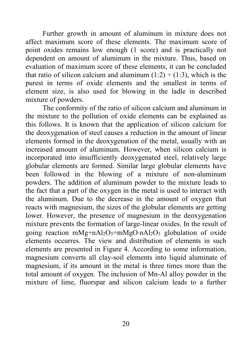Further growth in amount of aluminum in mixture does not affect maximum score of these elements. The maximum score of point oxides remains low enough (1 score) and is practically not dependent on amount of aluminum in the mixture. Thus, based on evaluation of maximum score of these elements, it can be concluded that ratio of silicon calcium and aluminum  $(1:2) \div (1:3)$ , which is the purest in terms of oxide elements and the smallest in terms of element size, is also used for blowing in the ladle in described mixture of powders.

The conformity of the ratio of silicon calcium and aluminum in the mixture to the pollution of oxide elements can be explained as this follows. It is known that the application of silicon calcium for the deoxygenation of steel causes a reduction in the amount of linear elements formed in the deoxygenation of the metal, usually with an increased amount of aluminum. However, when silicon calcium is incorporated into insufficiently deoxygenated steel, relatively large globular elements are formed. Similar large globular elements have been followed in the blowing of a mixture of non-aluminum powders. The addition of aluminum powder to the mixture leads to the fact that a part of the oxygen in the metal is used to interact with the aluminum. Due to the decrease in the amount of oxygen that reacts with magnesium, the sizes of the globular elements are getting lower. However, the presence of magnesium in the deoxygenation mixture prevents the formation of large-linear oxides. In the result of going reaction mMg+nAl<sub>2</sub>O<sub>3</sub>=mMgO⋅nAl<sub>2</sub>O<sub>3</sub> globulation of oxide elements occurres. The view and distribution of elements in such elements are presented in Figure 4. According to some information, magnesium converts all clay-soil elements into liquid aluminate of magnesium, if its amount in the metal is three times more than the total amount of oxygen. The inclusion of Mn-Al alloy powder in the mixture of lime, fluorspar and silicon calcium leads to a further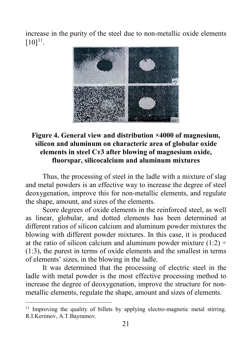increase in the purity of the steel due to non-metallic oxide elements  $[10]^{11}$  $[10]^{11}$  $[10]^{11}$ .



### **Figure 4. General view and distribution ×4000 of magnesium, silicon and aluminum on characteric area of globular oxide elements in steel Ст3 after blowing of magnesium oxide, fluorspar, silicocalcium and aluminum mixtures**

Thus, the processing of steel in the ladle with a mixture of slag and metal powders is an effective way to increase the degree of steel deoxygenation, improve this for non-metallic elements, and regulate the shape, amount, and sizes of the elements.

Score degrees of oxide elements in the reinforced steel, as well as linear, globular, and dotted elements has been determined at different ratios of silicon calcium and aluminum powder mixtures the blowing with different powder mixtures. In this case, it is produced at the ratio of silicon calcium and aluminum powder mixture  $(1:2)$  ÷ (1:3), the purest in terms of oxide elements and the smallest in terms of elements' sizes, in the blowing in the ladle.

It was determined that the processing of electric steel in the ladle with metal powder is the most effective processing method to increase the degree of deoxygenation, improve the structure for nonmetallic elements, regulate the shape, amount and sizes of elements.

<span id="page-20-0"></span><sup>&</sup>lt;sup>11</sup> Improving the quality of billets by applying electro-magnetic metal stirring. R.I.Kerimov, А.Т.Bayramov.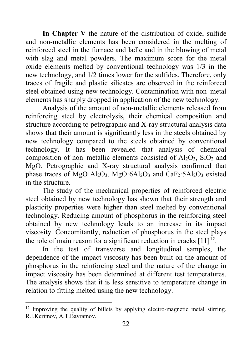**In Chapter V** the nature of the distribution of oxide, sulfide and non-metallic elements has been considered in the melting of reinforced steel in the furnace and ladle and in the blowing of metal with slag and metal powders. The maximum score for the metal oxide elements melted by conventional technology was 1/3 in the new technology, and 1/2 times lower for the sulfides. Therefore, only traces of fragile and plastic silicates are observed in the reinforced steel obtained using new technology. Contamination with non–metal elements has sharply dropped in application of the new technology.

Analysis of the amount of non-metallic elements released from reinforcing steel by electrolysis, their chemical composition and structure according to petrographic and X-ray structural analysis data shows that their amount is significantly less in the steels obtained by new technology compared to the steels obtained by conventional technology. It has been revealed that analysis of chemical composition of non–metallic elements consisted of  $Al_2O_3$ ,  $SiO_2$  and MgO. Petrographic and X-ray structural analysis confirmed that phase traces of MgO·Al<sub>2</sub>O<sub>3</sub>, MgO·6Al<sub>2</sub>O<sub>3</sub> and CaF<sub>2</sub>·5Al<sub>2</sub>O<sub>3</sub> existed in the structure.

The study of the mechanical properties of reinforced electric steel obtained by new technology has shown that their strength and plasticity properties were higher than steel melted by conventional technology. Reducing amount of phosphorus in the reinforcing steel obtained by new technology leads to an increase in its impact viscosity. Concomitantly, reduction of phosphorus in the steel plays the role of main reason for a significant reduction in cracks  $[11]$ <sup>[12](#page-21-0)</sup>.

In the test of transverse and longitudinal samples, the dependence of the impact viscosity has been built on the amount of phosphorus in the reinforcing steel and the nature of the change in impact viscosity has been determined at different test temperatures. The analysis shows that it is less sensitive to temperature change in relation to fitting melted using the new technology.

<span id="page-21-0"></span><sup>&</sup>lt;sup>12</sup> Improving the quality of billets by applying electro-magnetic metal stirring. R.I.Kerimov, А.Т.Bayramov.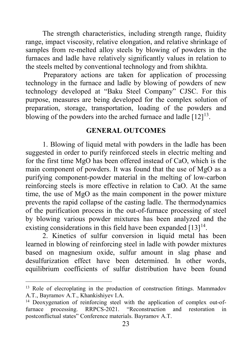The strength characteristics, including strength range, fluidity range, impact viscosity, relative elongation, and relative shrinkage of samples from re-melted alloy steels by blowing of powders in the furnaces and ladle have relatively significantly values in relation to the steels melted by conventional technology and from shikhta.

 Preparatory actions are taken for application of processing technology in the furnace and ladle by blowing of powders of new technology developed at "Baku Steel Company" CJSC. For this purpose, measures are being developed for the complex solution of preparation, storage, transportation, loading of the powders and blowing of the powders into the arched furnace and ladle  $[12]^{13}$ .

#### **GENERAL OUTCOMES**

1. Blowing of liquid metal with powders in the ladle has been suggested in order to purify reinforced steels in electric melting and for the first time MgO has been offered instead of CaO, which is the main component of powders. It was found that the use of MgO as a purifying component-powder material in the melting of low-carbon reinforcing steels is more effective in relation to CaO. At the same time, the use of MgO as the main component in the power mixture prevents the rapid collapse of the casting ladle. The thermodynamics of the purification process in the out-of-furnace processing of steel by blowing various powder mixtures has been analyzed and the existing considerations in this field have been expanded  $[13]^{14}$  $[13]^{14}$  $[13]^{14}$ .

2. Kinetics of sulfur conversion in liquid metal has been learned in blowing of reinforcing steel in ladle with powder mixtures based on magnesium oxide, sulfur amount in slag phase and desulfurization effect have been determined. In other words, equilibrium coefficients of sulfur distribution have been found

<span id="page-22-0"></span><sup>&</sup>lt;sup>13</sup> Role of elecroplating in the production of construction fittings. Mammadov A.T., Bayramov A.T., Khankishiyev I.A.

<span id="page-22-1"></span><sup>&</sup>lt;sup>14</sup> Deoxygenation of reinforcing steel with the application of complex out-offurnace processing. RRPCS-2021. "Reconstruction and restoration in postconflictual states" Conference materials. Bayramov A.T.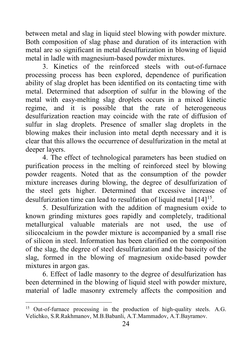between metal and slag in liquid steel blowing with powder mixture. Both composition of slag phase and duration of its interaction with metal are so significant in metal desulfurization in blowing of liquid metal in ladle with magnesium-based powder mixtures.

3. Kinetics of the reinforced steels with out-of-furnace processing process has been explored, dependence of purification ability of slag droplet has been identified on its contacting time with metal. Determined that adsorption of sulfur in the blowing of the metal with easy-melting slag droplets occurs in a mixed kinetic regime, and it is possible that the rate of heterogeneous desulfurization reaction may coincide with the rate of diffusion of sulfur in slag droplets. Presence of smaller slag droplets in the blowing makes their inclusion into metal depth necessary and it is clear that this allows the occurrence of desulfurization in the metal at deeper layers.

4. The effect of technological parameters has been studied on purification process in the melting of reinforced steel by blowing powder reagents. Noted that as the consumption of the powder mixture increases during blowing, the degree of desulfurization of the steel gets higher. Determined that excessive increase of desulfurization time can lead to resulfation of liquid metal [14]<sup>15</sup>.

5. Desulfurization with the addition of magnesium oxide to known grinding mixtures goes rapidly and completely, traditional metallurgical valuable materials are not used, the use of silicocalcium in the powder mixture is accompanied by a small rise of silicon in steel. Information has been clarified on the composition of the slag, the degree of steel desulfurization and the basicity of the slag, formed in the blowing of magnesium oxide-based powder mixtures in argon gas.

6. Effect of ladle masonry to the degree of desulfurization has been determined in the blowing of liquid steel with powder mixture, material of ladle masonry extremely affects the composition and

<span id="page-23-0"></span><sup>&</sup>lt;sup>15</sup> Out-of-furnace processing in the production of high-quality steels. A.G. Velichko, S.R.Rakhmanov, М.B.Babanli, А.Т.Mammadov, А.Т.Bayramov.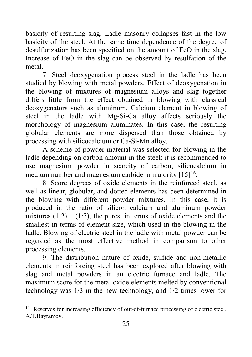basicity of resulting slag. Ladle masonry collapses fast in the low basicity of the steel. At the same time dependence of the degree of desulfurization has been specified on the amount of FeO in the slag. Increase of FeO in the slag can be observed by resulfation of the metal.

7. Steel deoxygenation process steel in the ladle has been studied by blowing with metal powders. Effect of deoxygenation in the blowing of mixtures of magnesium alloys and slag together differs little from the effect obtained in blowing with classical deoxygenators such as aluminum. Calcium element in blowing of steel in the ladle with Mg-Si-Ca alloy affects seriously the morphology of magnesium aluminates. In this case, the resulting globular elements are more dispersed than those obtained by processing with silicocalcium or Ca-Si-Mn alloy.

A scheme of powder material was selected for blowing in the ladle depending on carbon amount in the steel: it is recommended to use magnesium powder in scarcity of carbon, silicocalcium in medium number and magnesium carbide in majority [15]<sup>[16](#page-24-0)</sup>.

8. Score degrees of oxide elements in the reinforced steel, as well as linear, globular, and dotted elements has been determined in the blowing with different powder mixtures. In this case, it is produced in the ratio of silicon calcium and aluminum powder mixtures  $(1:2) \div (1:3)$ , the purest in terms of oxide elements and the smallest in terms of element size, which used in the blowing in the ladle. Blowing of electric steel in the ladle with metal powder can be regarded as the most effective method in comparison to other processing elements.

9. The distribution nature of oxide, sulfide and non-metallic elements in reinforcing steel has been explored after blowing with slag and metal powders in an electric furnace and ladle. The maximum score for the metal oxide elements melted by conventional technology was 1/3 in the new technology, and 1/2 times lower for

<span id="page-24-0"></span><sup>&</sup>lt;sup>16</sup> Reserves for increasing efficiency of out-of-furnace processing of electric steel. А.Т.Bayramov.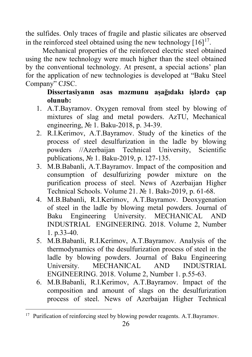the sulfides. Only traces of fragile and plastic silicates are observed in the reinforced steel obtained using the new technology  $[16]^{17}$ .

Mechanical properties of the reinforced electric steel obtained using the new technology were much higher than the steel obtained by the conventional technology. At present, a special actions' plan for the application of new technologies is developed at "Baku Steel Company" CJSC.

# **Dissertasiyanın əsas məzmunu aşağıdakı işlərdə çap olunub:**

- 1. A.T.Bayramov. Oxygen removal from steel by blowing of mixtures of slag and metal powders. AzTU, Mechanical engineering, № 1. Baku-2018, p. 34-39.
- 2. R.I.Kerimov, A.T.Bayramov. Study of the kinetics of the process of steel desulfurization in the ladle by blowing powders //Azerbaijan Technical University, Scientific publications, № 1. Baku-2019, p. 127-135.
- 3. M.B.Babanli, A.T.Bayramov. Impact of the composition and consumption of desulfurizing powder mixture on the purification process of steel. News of Azerbaijan Higher Technical Schools. Volume 21. № 1. Bakı-2019, p. 61-68.
- 4. M.B.Babanli, R.I.Kerimov, A.T.Bayramov. Deoxygenation of steel in the ladle by blowing metal powders. Journal of Baku Engineering University. MECHANICAL AND INDUSTRIAL ENGINEERING. 2018. Volume 2, Number 1. p.33-40.
- 5. M.B.Babanli, R.I.Kerimov, A.T.Bayramov. Analysis of the thermodynamics of the desulfurization process of steel in the ladle by blowing powders. Journal of Baku Engineering<br>University. MECHANICAL AND INDUSTRIAL MECHANICAL AND INDUSTRIAL ENGINEERING. 2018. Volume 2, Number 1. p.55-63.
- 6. M.B.Babanli, R.I.Kerimov, A.T.Bayramov. Impact of the composition and amount of slags on the desulfurization process of steel. News of Azerbaijan Higher Technical

<span id="page-25-0"></span><sup>&</sup>lt;sup>17</sup> Purification of reinforcing steel by blowing powder reagents. A.T.Bayramov.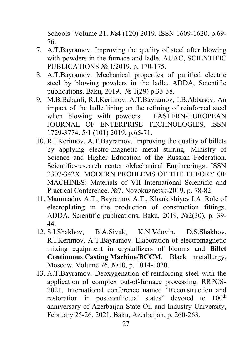Schools. Volume 21. №4 (120) 2019. ISSN 1609-1620. p.69- 76.

- 7. A.T.Bayramov. Improving the quality of steel after blowing with powders in the furnace and ladle. AUAC, SCIENTIFIC PUBLICATIONS № 1/2019. p. 170-175.
- 8. A.T.Bayramov. Mechanical properties of purified electric steel by blowing powders in the ladle. ADDA, Scientific publications, Baku, 2019, № 1(29) p.33-38.
- 9. M.B.Babanli, R.I.Kerimov, A.T.Bayramov, I.B.Abbasov. An impact of the ladle lining on the refining of reinforced steel<br>when blowing with powders. EASTERN-EUROPEAN when blowing with powders. JOURNAL OF ENTERPRISE TECHNOLOGIES. ISSN 1729-3774. 5/1 (101) 2019. p.65-71.
- 10. R.I.Kerimov, А.Т.Bayramov. Improving the quality of billets by applying electro-magnetic metal stirring. Ministry of Science and Higher Education of the Russian Federation. Scientific-research center «Mechanical Engineering». ISSN 2307-342X. MODERN PROBLEMS OF THE THEORY OF MACHINES: Materials of VII International Scientific and Practical Conference. №7. Novokuznetsk-2019. p. 78-82.
- 11. Mammadov A.T., Bayramov A.T., Khankishiyev I.A. Role of elecroplating in the production of construction fittings. ADDA, Scientific publications, Baku, 2019, №2(30), p. 39- 44.
- 12. S.I.Shakhov, B.А.Sivak, K.N.Vdovin, D.S.Shakhov, R.I.Kerimov, А.Т.Bayramov. Elaboration of electromagnetic mixing equipment in crystallizers of blooms and **Billet Continuous Casting Machine/BCCM**. Black metallurgy, Moscow. Volume 76, №10, p. 1014-1020.
- 13. A.T.Bayramov. Deoxygenation of reinforcing steel with the application of complex out-of-furnace processing. RRPCS-2021. International conference named "Reconstruction and restoration in postconflictual states" devoted to 100<sup>th</sup> anniversary of Azerbaijan State Oil and Industry University, February 25-26, 2021, Baku, Azerbaijan. p. 260-263.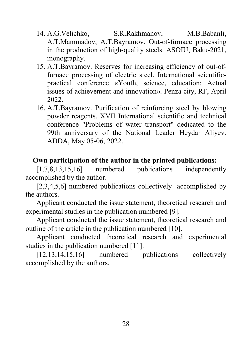- 14. А.G.Velichko, S.R.Rakhmanov, М.B.Babanli, А.Т.Mammadov, А.Т.Bayramov. Out-of-furnace processing in the production of high-quality steels. ASOIU, Baku-2021, monography.
- 15. А.Т.Bayramov. Reserves for increasing efficiency of out-offurnace processing of electric steel. International scientificpractical conference «Youth, science, education: Actual issues of achievement and innovation». Penza city, RF, April 2022.
- 16. A.T.Bayramov. Purification of reinforcing steel by blowing powder reagents. XVII International scientific and technical conference "Problems of water transport" dedicated to the 99th anniversary of the National Leader Heydar Aliyev. ADDA, May 05-06, 2022.

#### **Own participation of the author in the printed publications:**

[1,7,8,13,15,16] numbered publications independently accomplished by the author.

[2,3,4,5,6] numbered publications collectively accomplished by the authors.

Applicant conducted the issue statement, theoretical research and experimental studies in the publication numbered [9].

Applicant conducted the issue statement, theoretical research and outline of the article in the publication numbered [10].

Applicant conducted theoretical research and experimental studies in the publication numbered [11].

[12,13,14,15,16] numbered publications collectively accomplished by the authors.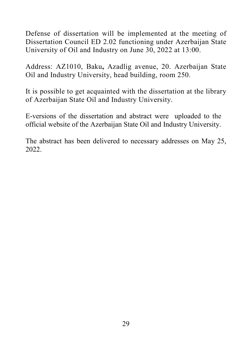Defense of dissertation will be implemented at the meeting of Dissertation Council ED 2.02 functioning under Azerbaijan State University of Oil and Industry on June 30, 2022 at 13:00.

Address: AZ1010, Baku**,** Azadlig avenue, 20. Azerbaijan State Oil and Industry University, head building, room 250.

It is possible to get acquainted with the dissertation at the library of Azerbaijan State Oil and Industry University.

E-versions of the dissertation and abstract were uploaded to the official website of the Azerbaijan State Oil and Industry University.

The abstract has been delivered to necessary addresses on May 25, 2022.